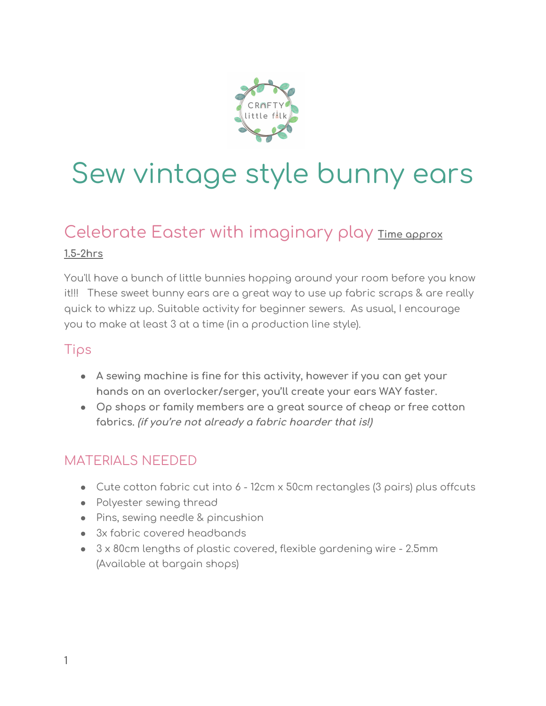

# Sew vintage style bunny ears

# Celebrate Easter with imaginary play **Time approx**

#### **1.5-2hrs**

You'll have a bunch of little bunnies hopping around your room before you know it!!! These sweet bunny ears are a great way to use up fabric scraps & are really quick to whizz up. Suitable activity for beginner sewers. As usual, I encourage you to make at least 3 at a time (in a production line style).

#### Tips

- **A sewing machine is fine for this activity, however if you can get your hands on an overlocker/serger, you'll create your ears WAY faster.**
- **● Op shops or family members are a great source of cheap or free cotton fabrics. (if you're not already <sup>a</sup> fabric hoarder that is!)**

### MATERIALS NEEDED

- Cute cotton fabric cut into 6 12cm x 50cm rectangles (3 pairs) plus offcuts
- Polyester sewing thread
- Pins, sewing needle & pincushion
- 3x fabric covered headbands
- 3 x 80cm lengths of plastic covered, flexible gardening wire 2.5mm (Available at bargain shops)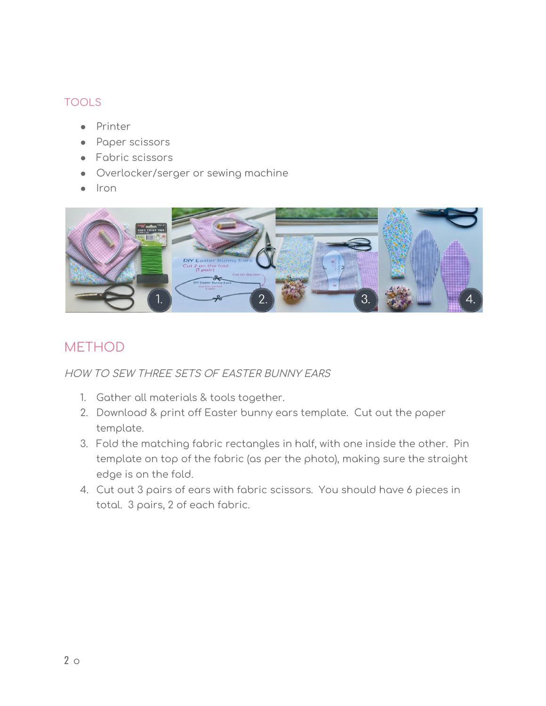#### TOOLS

- Printer
- Paper scissors
- Fabric scissors
- Overlocker/serger or sewing machine
- Iron



## **METHOD**

HOW TO SEW THREE SETS OF EASTER BUNNY EARS

- 1. Gather all materials & tools together.
- 2. Download & print off Easter bunny ears template. Cut out the paper template.
- 3. Fold the matching fabric rectangles in half, with one inside the other. Pin template on top of the fabric (as per the photo), making sure the straight edge is on the fold.
- 4. Cut out 3 pairs of ears with fabric scissors. You should have 6 pieces in total. 3 pairs, 2 of each fabric.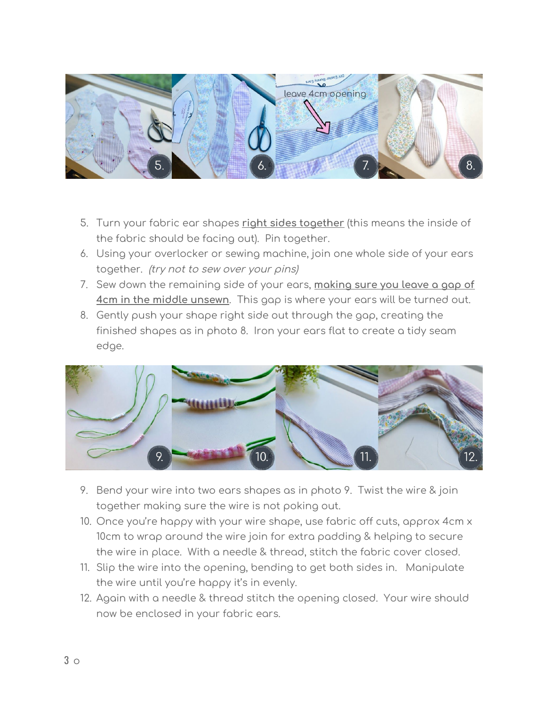

- 5. Turn your fabric ear shapes **right sides together** (this means the inside of the fabric should be facing out). Pin together.
- 6. Using your overlocker or sewing machine, join one whole side of your ears together. (try not to sew over your pins)
- 7. Sew down the remaining side of your ears, **making sure you leave a gap of 4cm in the middle unsewn**. This gap is where your ears will be turned out.
- 8. Gently push your shape right side out through the gap, creating the finished shapes as in photo 8. Iron your ears flat to create a tidy seam edge.



- 9. Bend your wire into two ears shapes as in photo 9. Twist the wire & join together making sure the wire is not poking out.
- 10. Once you're happy with your wire shape, use fabric off cuts, approx 4cm x 10cm to wrap around the wire join for extra padding & helping to secure the wire in place. With a needle & thread, stitch the fabric cover closed.
- 11. Slip the wire into the opening, bending to get both sides in. Manipulate the wire until you're happy it's in evenly.
- 12. Again with a needle & thread stitch the opening closed. Your wire should now be enclosed in your fabric ears.